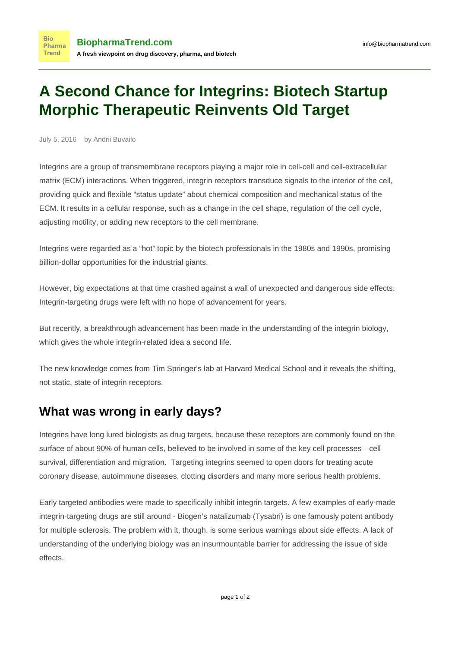## **A Second Chance for Integrins: Biotech Startup Morphic Therapeutic Reinvents Old Target**

July 5, 2016 by Andrii Buvailo

**Bio** 

**Trend** 

Integrins are a group of transmembrane receptors playing a major role in cell-cell and cell-extracellular matrix (ECM) interactions. When triggered, integrin receptors transduce signals to the interior of the cell, providing quick and flexible "status update" about chemical composition and mechanical status of the ECM. It results in a cellular response, such as a change in the cell shape, regulation of the cell cycle, adjusting motility, or adding new receptors to the cell membrane.

Integrins were regarded as a "hot" topic by the biotech professionals in the 1980s and 1990s, promising billion-dollar opportunities for the industrial giants.

However, big expectations at that time crashed against a wall of unexpected and dangerous side effects. Integrin-targeting drugs were left with no hope of advancement for years.

But recently, a breakthrough advancement has been made in the understanding of the integrin biology, which gives the whole integrin-related idea a second life.

The new knowledge comes from [Tim Springer's lab](http://springerlab.tch.harvard.edu/springer/pages/researchprojects) at Harvard Medical School and it reveals the shifting, not static, state of integrin receptors.

## **What was wrong in early days?**

Integrins have long lured biologists as drug targets, because these receptors are commonly found on the surface of about 90% of human cells, believed to be involved in some of the key cell processes—cell survival, differentiation and migration. Targeting integrins seemed to open doors for treating acute coronary disease, autoimmune diseases, clotting disorders and many more serious health problems.

Early targeted antibodies were made to specifically inhibit integrin targets. A few examples of early-made integrin-targeting drugs are still around - Biogen's natalizumab (Tysabri) is one famously potent antibody for multiple sclerosis. The problem with it, though, is some serious warnings about side effects. A lack of understanding of the underlying biology was an insurmountable barrier for addressing the issue of side effects.